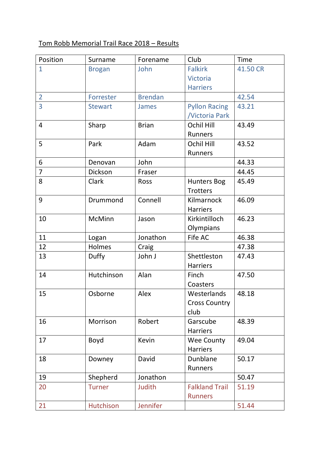## Tom Robb Memorial Trail Race 2018 – Results

| Position       | Surname        | Forename       | Club                  | Time     |
|----------------|----------------|----------------|-----------------------|----------|
| $\mathbf{1}$   | <b>Brogan</b>  | John           | <b>Falkirk</b>        | 41.50 CR |
|                |                |                | <b>Victoria</b>       |          |
|                |                |                | <b>Harriers</b>       |          |
| $\overline{2}$ | Forrester      | <b>Brendan</b> |                       | 42.54    |
| $\overline{3}$ | <b>Stewart</b> | <b>James</b>   | <b>Pyllon Racing</b>  | 43.21    |
|                |                |                | <b>Victoria Park</b>  |          |
| $\overline{4}$ | Sharp          | <b>Brian</b>   | <b>Ochil Hill</b>     | 43.49    |
|                |                |                | Runners               |          |
| 5              | Park           | Adam           | <b>Ochil Hill</b>     | 43.52    |
|                |                |                | Runners               |          |
| 6              | Denovan        | John           |                       | 44.33    |
| $\overline{7}$ | Dickson        | Fraser         |                       | 44.45    |
| 8              | Clark          | Ross           | <b>Hunters Bog</b>    | 45.49    |
|                |                |                | <b>Trotters</b>       |          |
| 9              | Drummond       | Connell        | Kilmarnock            | 46.09    |
|                |                |                | <b>Harriers</b>       |          |
| 10             | McMinn         | Jason          | Kirkintilloch         | 46.23    |
|                |                |                | Olympians             |          |
| 11             | Logan          | Jonathon       | Fife AC               | 46.38    |
| 12             | Holmes         | Craig          |                       | 47.38    |
| 13             | Duffy          | John J         | Shettleston           | 47.43    |
|                |                |                | <b>Harriers</b>       |          |
| 14             | Hutchinson     | Alan           | Finch                 | 47.50    |
|                |                |                | Coasters              |          |
| 15             | Osborne        | Alex           | Westerlands           | 48.18    |
|                |                |                | <b>Cross Country</b>  |          |
|                |                |                | club                  |          |
| 16             | Morrison       | Robert         | Garscube              | 48.39    |
|                |                |                | <b>Harriers</b>       |          |
| 17             | Boyd           | Kevin          | Wee County            | 49.04    |
|                |                |                | <b>Harriers</b>       |          |
| 18             | Downey         | David          | Dunblane              | 50.17    |
|                |                |                | Runners               |          |
| 19             | Shepherd       | Jonathon       |                       | 50.47    |
| 20             | <b>Turner</b>  | <b>Judith</b>  | <b>Falkland Trail</b> | 51.19    |
|                |                |                | <b>Runners</b>        |          |
| 21             | Hutchison      | Jennifer       |                       | 51.44    |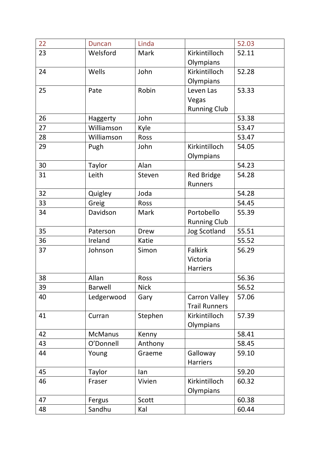| 22 | <b>Duncan</b>   | Linda       |                      | 52.03 |
|----|-----------------|-------------|----------------------|-------|
| 23 | Welsford        | Mark        | Kirkintilloch        | 52.11 |
|    |                 |             | Olympians            |       |
| 24 | Wells           | John        | Kirkintilloch        | 52.28 |
|    |                 |             | Olympians            |       |
| 25 | Pate            | Robin       | Leven Las            | 53.33 |
|    |                 |             | Vegas                |       |
|    |                 |             | <b>Running Club</b>  |       |
| 26 | <b>Haggerty</b> | John        |                      | 53.38 |
| 27 | Williamson      | Kyle        |                      | 53.47 |
| 28 | Williamson      | Ross        |                      | 53.47 |
| 29 | Pugh            | John        | Kirkintilloch        | 54.05 |
|    |                 |             | Olympians            |       |
| 30 | Taylor          | Alan        |                      | 54.23 |
| 31 | Leith           | Steven      | <b>Red Bridge</b>    | 54.28 |
|    |                 |             | Runners              |       |
| 32 | Quigley         | Joda        |                      | 54.28 |
| 33 | Greig           | Ross        |                      | 54.45 |
| 34 | Davidson        | Mark        | Portobello           | 55.39 |
|    |                 |             | <b>Running Club</b>  |       |
| 35 | Paterson        | <b>Drew</b> | <b>Jog Scotland</b>  | 55.51 |
| 36 | Ireland         | Katie       |                      | 55.52 |
| 37 | Johnson         | Simon       | Falkirk              | 56.29 |
|    |                 |             | Victoria             |       |
|    |                 |             | <b>Harriers</b>      |       |
| 38 | Allan           | Ross        |                      | 56.36 |
| 39 | <b>Barwell</b>  | <b>Nick</b> |                      | 56.52 |
| 40 | Ledgerwood      | Gary        | <b>Carron Valley</b> | 57.06 |
|    |                 |             | <b>Trail Runners</b> |       |
| 41 | Curran          | Stephen     | Kirkintilloch        | 57.39 |
|    |                 |             | Olympians            |       |
| 42 | <b>McManus</b>  | Kenny       |                      | 58.41 |
| 43 | O'Donnell       | Anthony     |                      | 58.45 |
| 44 | Young           | Graeme      | Galloway             | 59.10 |
|    |                 |             | <b>Harriers</b>      |       |
| 45 | <b>Taylor</b>   | lan         |                      | 59.20 |
| 46 | Fraser          | Vivien      | Kirkintilloch        | 60.32 |
|    |                 |             | Olympians            |       |
| 47 | Fergus          | Scott       |                      | 60.38 |
| 48 | Sandhu          | Kal         |                      | 60.44 |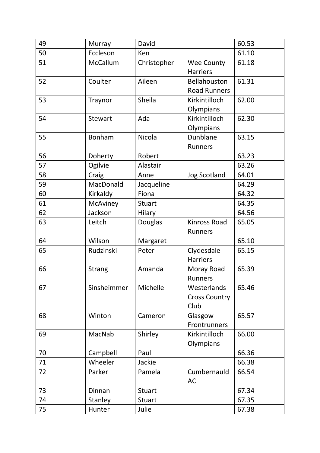| 49 | Murray         | David         |                                             | 60.53 |
|----|----------------|---------------|---------------------------------------------|-------|
| 50 | Eccleson       | Ken           |                                             | 61.10 |
| 51 | McCallum       | Christopher   | Wee County<br><b>Harriers</b>               | 61.18 |
| 52 | Coulter        | Aileen        | Bellahouston<br><b>Road Runners</b>         | 61.31 |
| 53 | Traynor        | Sheila        | Kirkintilloch<br>Olympians                  | 62.00 |
| 54 | <b>Stewart</b> | Ada           | Kirkintilloch<br>Olympians                  | 62.30 |
| 55 | Bonham         | Nicola        | Dunblane<br>Runners                         | 63.15 |
| 56 | Doherty        | Robert        |                                             | 63.23 |
| 57 | Ogilvie        | Alastair      |                                             | 63.26 |
| 58 | Craig          | Anne          | <b>Jog Scotland</b>                         | 64.01 |
| 59 | MacDonald      | Jacqueline    |                                             | 64.29 |
| 60 | Kirkaldy       | Fiona         |                                             | 64.32 |
| 61 | McAviney       | <b>Stuart</b> |                                             | 64.35 |
| 62 | Jackson        | Hilary        |                                             | 64.56 |
| 63 | Leitch         | Douglas       | <b>Kinross Road</b><br>Runners              | 65.05 |
| 64 | Wilson         | Margaret      |                                             | 65.10 |
| 65 | Rudzinski      | Peter         | Clydesdale<br><b>Harriers</b>               | 65.15 |
| 66 | <b>Strang</b>  | Amanda        | Moray Road<br>Runners                       | 65.39 |
| 67 | Sinsheimmer    | Michelle      | Westerlands<br><b>Cross Country</b><br>Club | 65.46 |
| 68 | Winton         | Cameron       | Glasgow<br>Frontrunners                     | 65.57 |
| 69 | MacNab         | Shirley       | Kirkintilloch<br>Olympians                  | 66.00 |
| 70 | Campbell       | Paul          |                                             | 66.36 |
| 71 | Wheeler        | Jackie        |                                             | 66.38 |
| 72 | Parker         | Pamela        | Cumbernauld<br>AC                           | 66.54 |
| 73 | Dinnan         | <b>Stuart</b> |                                             | 67.34 |
| 74 | Stanley        | <b>Stuart</b> |                                             | 67.35 |
| 75 | Hunter         | Julie         |                                             | 67.38 |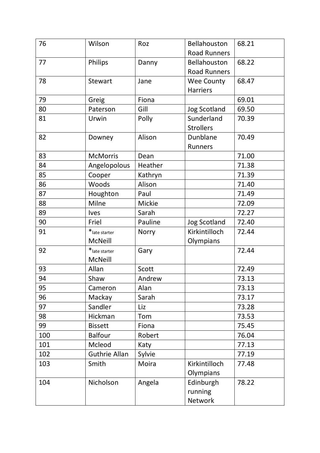| 76  | Wilson               | Roz     | Bellahouston        | 68.21 |
|-----|----------------------|---------|---------------------|-------|
|     |                      |         | <b>Road Runners</b> |       |
| 77  | Philips              | Danny   | Bellahouston        | 68.22 |
|     |                      |         | <b>Road Runners</b> |       |
| 78  | <b>Stewart</b>       | Jane    | Wee County          | 68.47 |
|     |                      |         | <b>Harriers</b>     |       |
| 79  | Greig                | Fiona   |                     | 69.01 |
| 80  | Paterson             | Gill    | <b>Jog Scotland</b> | 69.50 |
| 81  | Urwin                | Polly   | Sunderland          | 70.39 |
|     |                      |         | <b>Strollers</b>    |       |
| 82  | Downey               | Alison  | Dunblane            | 70.49 |
|     |                      |         | Runners             |       |
| 83  | <b>McMorris</b>      | Dean    |                     | 71.00 |
| 84  | Angelopolous         | Heather |                     | 71.38 |
| 85  | Cooper               | Kathryn |                     | 71.39 |
| 86  | Woods                | Alison  |                     | 71.40 |
| 87  | Houghton             | Paul    |                     | 71.49 |
| 88  | Milne                | Mickie  |                     | 72.09 |
| 89  | <b>Ives</b>          | Sarah   |                     | 72.27 |
| 90  | Friel                | Pauline | <b>Jog Scotland</b> | 72.40 |
| 91  | * late starter       | Norry   | Kirkintilloch       | 72.44 |
|     | <b>McNeill</b>       |         | Olympians           |       |
| 92  | * late starter       | Gary    |                     | 72.44 |
|     | <b>McNeill</b>       |         |                     |       |
| 93  | Allan                | Scott   |                     | 72.49 |
| 94  | Shaw                 | Andrew  |                     | 73.13 |
| 95  | Cameron              | Alan    |                     | 73.13 |
| 96  | Mackay               | Sarah   |                     | 73.17 |
| 97  | Sandler              | Liz     |                     | 73.28 |
| 98  | Hickman              | Tom     |                     | 73.53 |
| 99  | <b>Bissett</b>       | Fiona   |                     | 75.45 |
| 100 | <b>Balfour</b>       | Robert  |                     | 76.04 |
| 101 | Mcleod               | Katy    |                     | 77.13 |
| 102 | <b>Guthrie Allan</b> | Sylvie  |                     | 77.19 |
| 103 | Smith                | Moira   | Kirkintilloch       | 77.48 |
|     |                      |         | Olympians           |       |
| 104 | Nicholson            | Angela  | Edinburgh           | 78.22 |
|     |                      |         | running             |       |
|     |                      |         | Network             |       |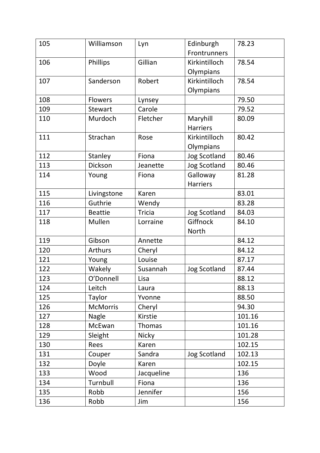| 105 | Williamson      | Lyn           | Edinburgh<br>Frontrunners | 78.23  |
|-----|-----------------|---------------|---------------------------|--------|
| 106 | Phillips        | Gillian       | Kirkintilloch             | 78.54  |
|     |                 |               | Olympians                 |        |
| 107 | Sanderson       | Robert        | Kirkintilloch             | 78.54  |
|     |                 |               | Olympians                 |        |
| 108 | <b>Flowers</b>  | Lynsey        |                           | 79.50  |
| 109 | <b>Stewart</b>  | Carole        |                           | 79.52  |
| 110 | Murdoch         | Fletcher      | Maryhill                  | 80.09  |
|     |                 |               | <b>Harriers</b>           |        |
| 111 | Strachan        | Rose          | Kirkintilloch             | 80.42  |
|     |                 |               | Olympians                 |        |
| 112 | Stanley         | Fiona         | <b>Jog Scotland</b>       | 80.46  |
| 113 | Dickson         | Jeanette      | <b>Jog Scotland</b>       | 80.46  |
| 114 | Young           | Fiona         | Galloway                  | 81.28  |
|     |                 |               | <b>Harriers</b>           |        |
| 115 | Livingstone     | Karen         |                           | 83.01  |
| 116 | Guthrie         | Wendy         |                           | 83.28  |
| 117 | <b>Beattie</b>  | <b>Tricia</b> | <b>Jog Scotland</b>       | 84.03  |
| 118 | Mullen          | Lorraine      | Giffnock                  | 84.10  |
|     |                 |               | North                     |        |
| 119 | Gibson          | Annette       |                           | 84.12  |
| 120 | Arthurs         | Cheryl        |                           | 84.12  |
| 121 | Young           | Louise        |                           | 87.17  |
| 122 | Wakely          | Susannah      | <b>Jog Scotland</b>       | 87.44  |
| 123 | O'Donnell       | Lisa          |                           | 88.12  |
| 124 | Leitch          | Laura         |                           | 88.13  |
| 125 | Taylor          | Yvonne        |                           | 88.50  |
| 126 | <b>McMorris</b> | Cheryl        |                           | 94.30  |
| 127 | Nagle           | Kirstie       |                           | 101.16 |
| 128 | McEwan          | Thomas        |                           | 101.16 |
| 129 | Sleight         | Nicky         |                           | 101.28 |
| 130 | Rees            | Karen         |                           | 102.15 |
| 131 | Couper          | Sandra        | <b>Jog Scotland</b>       | 102.13 |
| 132 | Doyle           | Karen         |                           | 102.15 |
| 133 | Wood            | Jacqueline    |                           | 136    |
| 134 | Turnbull        | Fiona         |                           | 136    |
| 135 | Robb            | Jennifer      |                           | 156    |
| 136 | Robb            | Jim           |                           | 156    |